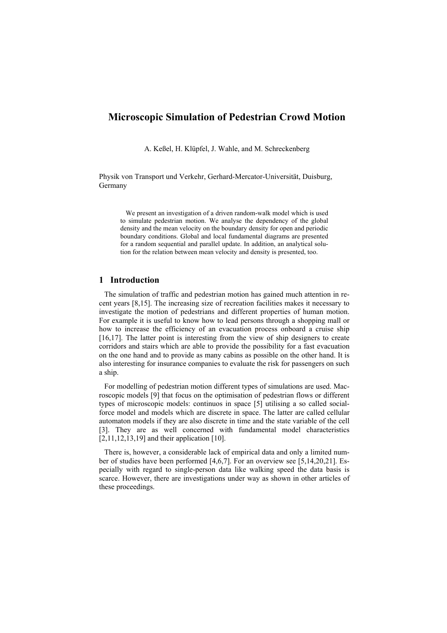# **Microscopic Simulation of Pedestrian Crowd Motion**

A. Keßel, H. Klüpfel, J. Wahle, and M. Schreckenberg

Physik von Transport und Verkehr, Gerhard-Mercator-Universität, Duisburg, Germany

We present an investigation of a driven random-walk model which is used to simulate pedestrian motion. We analyse the dependency of the global density and the mean velocity on the boundary density for open and periodic boundary conditions. Global and local fundamental diagrams are presented for a random sequential and parallel update. In addition, an analytical solution for the relation between mean velocity and density is presented, too.

## **1 Introduction**

The simulation of traffic and pedestrian motion has gained much attention in recent years [8,15]. The increasing size of recreation facilities makes it necessary to investigate the motion of pedestrians and different properties of human motion. For example it is useful to know how to lead persons through a shopping mall or how to increase the efficiency of an evacuation process onboard a cruise ship [16,17]. The latter point is interesting from the view of ship designers to create corridors and stairs which are able to provide the possibility for a fast evacuation on the one hand and to provide as many cabins as possible on the other hand. It is also interesting for insurance companies to evaluate the risk for passengers on such a ship.

For modelling of pedestrian motion different types of simulations are used. Macroscopic models [9] that focus on the optimisation of pedestrian flows or different types of microscopic models: continuos in space [5] utilising a so called socialforce model and models which are discrete in space. The latter are called cellular automaton models if they are also discrete in time and the state variable of the cell [3]. They are as well concerned with fundamental model characteristics [2,11,12,13,19] and their application [10].

There is, however, a considerable lack of empirical data and only a limited number of studies have been performed [4,6,7]. For an overview see [5,14,20,21]. Especially with regard to single-person data like walking speed the data basis is scarce. However, there are investigations under way as shown in other articles of these proceedings.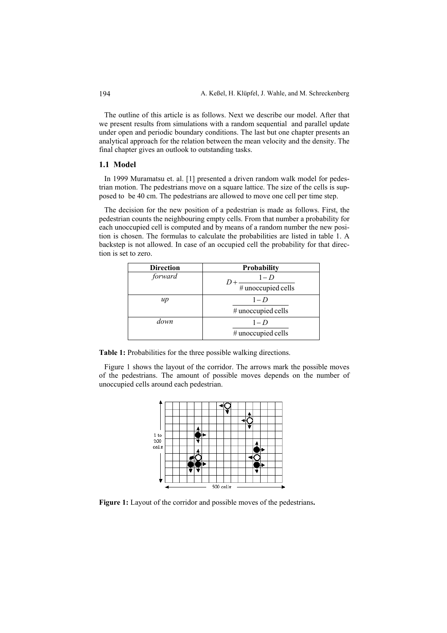The outline of this article is as follows. Next we describe our model. After that we present results from simulations with a random sequential and parallel update under open and periodic boundary conditions. The last but one chapter presents an analytical approach for the relation between the mean velocity and the density. The final chapter gives an outlook to outstanding tasks.

#### **1.1 Model**

In 1999 Muramatsu et. al. [1] presented a driven random walk model for pedestrian motion. The pedestrians move on a square lattice. The size of the cells is supposed to be 40 cm. The pedestrians are allowed to move one cell per time step.

The decision for the new position of a pedestrian is made as follows. First, the pedestrian counts the neighbouring empty cells. From that number a probability for each unoccupied cell is computed and by means of a random number the new position is chosen. The formulas to calculate the probabilities are listed in table 1. A backstep is not allowed. In case of an occupied cell the probability for that direction is set to zero.

| <b>Direction</b> | Probability        |  |  |
|------------------|--------------------|--|--|
| forward          | $1-D$              |  |  |
|                  | # unoccupied cells |  |  |
| $\mu$            | $1-D$              |  |  |
|                  | # unoccupied cells |  |  |
| down             | $1-D$              |  |  |
|                  | # unoccupied cells |  |  |

**Table 1:** Probabilities for the three possible walking directions.

Figure 1 shows the layout of the corridor. The arrows mark the possible moves of the pedestrians. The amount of possible moves depends on the number of unoccupied cells around each pedestrian.



**Figure 1:** Layout of the corridor and possible moves of the pedestrians**.**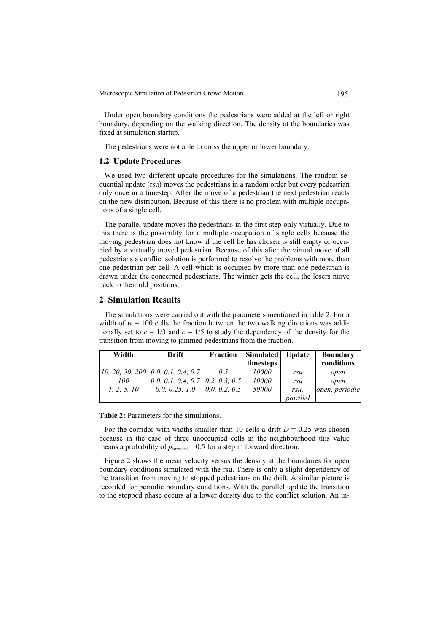Microscopic Simulation of Pedestrian Crowd Motion 195

Under open boundary conditions the pedestrians were added at the left or right boundary, depending on the walking direction. The density at the boundaries was fixed at simulation startup.

The pedestrians were not able to cross the upper or lower boundary.

## **1.2 Update Procedures**

We used two different update procedures for the simulations. The random sequential update (rsu) moves the pedestrians in a random order but every pedestrian only once in a timestep. After the move of a pedestrian the next pedestrian reacts on the new distribution. Because of this there is no problem with multiple occupations of a single cell.

The parallel update moves the pedestrians in the first step only virtually. Due to this there is the possibility for a multiple occupation of single cells because the moving pedestrian does not know if the cell he has chosen is still empty or occupied by a virtually moved pedestrian. Because of this after the virtual move of all pedestrians a conflict solution is performed to resolve the problems with more than one pedestrian per cell. A cell which is occupied by more than one pedestrian is drawn under the concerned pedestrians. The winner gets the cell, the losers move back to their old positions.

## **2 Simulation Results**

The simulations were carried out with the parameters mentioned in table 2. For a width of  $w = 100$  cells the fraction between the two walking directions was additionally set to  $c = 1/3$  and  $c = 1/5$  to study the dependency of the density for the transition from moving to jammed pedestrians from the fraction.

| Width       | Drift                              | <b>Fraction</b> | <b>Simulated</b> | <b>Update</b> | <b>Boundary</b> |
|-------------|------------------------------------|-----------------|------------------|---------------|-----------------|
|             |                                    |                 | timesteps        |               | conditions      |
|             | 10, 20, 50, 200 0.0, 0.1, 0.4, 0.7 | 0.5             | 10000            | rsu           | open            |
| 100         | 0.0, 0.1, 0.4, 0.7                 | 0.2, 0.3, 0.5   | 10000            | rsu           | open            |
| 1, 2, 5, 10 | 0.0, 0.25, 1.0                     | 0.0, 0.2, 0.5   | 50000            | rsu,          | open, periodic  |
|             |                                    |                 |                  | parallel      |                 |

**Table 2:** Parameters for the simulations.

For the corridor with widths smaller than 10 cells a drift  $D = 0.25$  was chosen because in the case of three unoccupied cells in the neighbourhood this value means a probability of  $p_{forward} = 0.5$  for a step in forward direction.

Figure 2 shows the mean velocity versus the density at the boundaries for open boundary conditions simulated with the rsu. There is only a slight dependency of the transition from moving to stopped pedestrians on the drift. A similar picture is recorded for periodic boundary conditions. With the parallel update the transition to the stopped phase occurs at a lower density due to the conflict solution. An in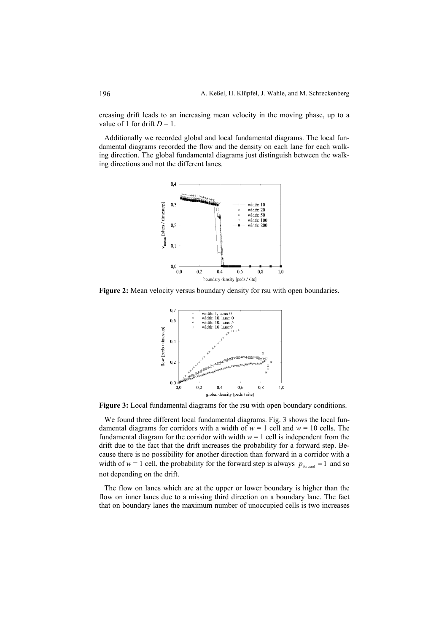creasing drift leads to an increasing mean velocity in the moving phase, up to a value of 1 for drift  $D = 1$ .

Additionally we recorded global and local fundamental diagrams. The local fundamental diagrams recorded the flow and the density on each lane for each walking direction. The global fundamental diagrams just distinguish between the walking directions and not the different lanes.



**Figure 2:** Mean velocity versus boundary density for rsu with open boundaries.



**Figure 3:** Local fundamental diagrams for the rsu with open boundary conditions.

We found three different local fundamental diagrams. Fig. 3 shows the local fundamental diagrams for corridors with a width of  $w = 1$  cell and  $w = 10$  cells. The fundamental diagram for the corridor with width  $w = 1$  cell is independent from the drift due to the fact that the drift increases the probability for a forward step. Because there is no possibility for another direction than forward in a corridor with a width of  $w = 1$  cell, the probability for the forward step is always  $p_{\text{forward}} = 1$  and so not depending on the drift.

The flow on lanes which are at the upper or lower boundary is higher than the flow on inner lanes due to a missing third direction on a boundary lane. The fact that on boundary lanes the maximum number of unoccupied cells is two increases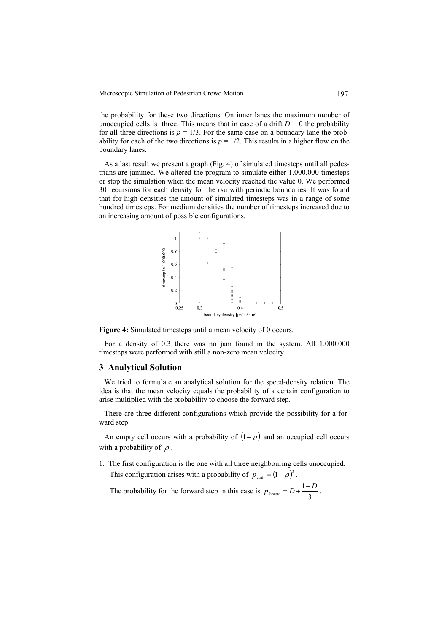the probability for these two directions. On inner lanes the maximum number of unoccupied cells is three. This means that in case of a drift  $D = 0$  the probability for all three directions is  $p = 1/3$ . For the same case on a boundary lane the probability for each of the two directions is  $p = 1/2$ . This results in a higher flow on the boundary lanes.

As a last result we present a graph (Fig. 4) of simulated timesteps until all pedestrians are jammed. We altered the program to simulate either 1.000.000 timesteps or stop the simulation when the mean velocity reached the value 0. We performed 30 recursions for each density for the rsu with periodic boundaries. It was found that for high densities the amount of simulated timesteps was in a range of some hundred timesteps. For medium densities the number of timesteps increased due to an increasing amount of possible configurations.



**Figure 4:** Simulated timesteps until a mean velocity of 0 occurs.

For a density of 0.3 there was no jam found in the system. All 1.000.000 timesteps were performed with still a non-zero mean velocity.

#### **3 Analytical Solution**

We tried to formulate an analytical solution for the speed-density relation. The idea is that the mean velocity equals the probability of a certain configuration to arise multiplied with the probability to choose the forward step.

There are three different configurations which provide the possibility for a forward step.

An empty cell occurs with a probability of  $(1-\rho)$  and an occupied cell occurs with a probability of  $\rho$ .

1. The first configuration is the one with all three neighbouring cells unoccupied. This configuration arises with a probability of  $p_{\text{conf.}} = (1 - \rho)^3$ .

The probability for the forward step in this case is  $p_{\text{forward}} = D + \frac{1}{3}$  $p_{\text{forward}} = D + \frac{1 - D}{2}$ .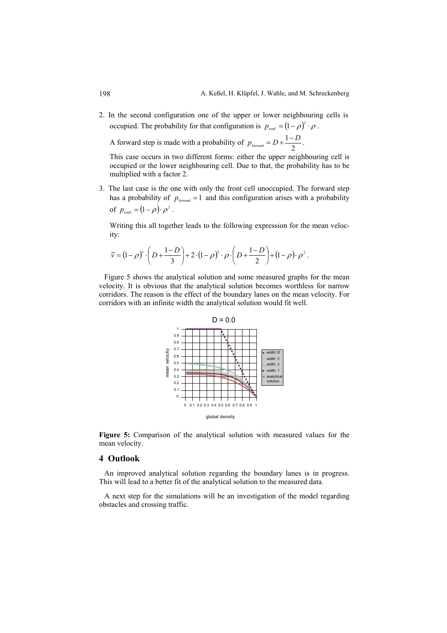2. In the second configuration one of the upper or lower neighbouring cells is occupied. The probability for that configuration is  $p_{\text{conf.}} = (1 - \rho)^2 \cdot \rho$ .

A forward step is made with a probability of  $p_{\text{forward}} = D + \frac{1}{2}$  $p_{\text{forward}} = D + \frac{1 - D}{2}$ .

This case occurs in two different forms: either the upper neighbouring cell is occupied or the lower neighbouring cell. Due to that, the probability has to be multiplied with a factor 2.

3. The last case is the one with only the front cell unoccupied. The forward step has a probability of  $p_{forward} = 1$  and this configuration arises with a probability of  $p_{\text{conf}} = (1 - \rho) \cdot \rho^2$ .

Writing this all together leads to the following expression for the mean velocity:

$$
\overline{v} = (1-\rho)^3 \cdot \left(D + \frac{1-D}{3}\right) + 2 \cdot (1-\rho)^2 \cdot \rho \cdot \left(D + \frac{1-D}{2}\right) + (1-\rho) \cdot \rho^2.
$$

Figure 5 shows the analytical solution and some measured graphs for the mean velocity. It is obvious that the analytical solution becomes worthless for narrow corridors. The reason is the effect of the boundary lanes on the mean velocity. For corridors with an infinite width the analytical solution would fit well.



**Figure 5:** Comparison of the analytical solution with measured values for the mean velocity.

### **4 Outlook**

An improved analytical solution regarding the boundary lanes is in progress. This will lead to a better fit of the analytical solution to the measured data.

A next step for the simulations will be an investigation of the model regarding obstacles and crossing traffic.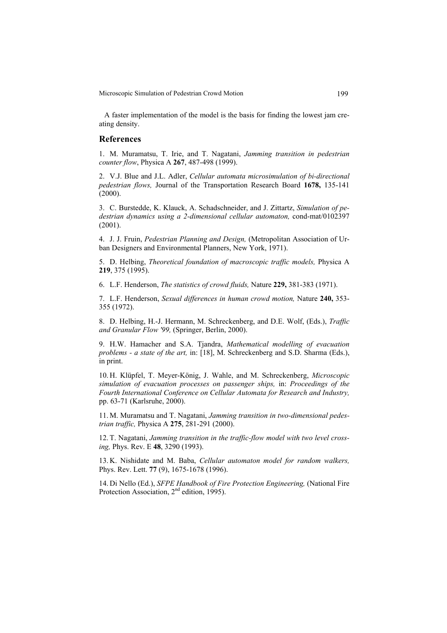Microscopic Simulation of Pedestrian Crowd Motion 199

A faster implementation of the model is the basis for finding the lowest jam creating density.

#### **References**

1. M. Muramatsu, T. Irie, and T. Nagatani, *Jamming transition in pedestrian counter flow*, Physica A **267**, 487-498 (1999).

2. V.J. Blue and J.L. Adler, *Cellular automata microsimulation of bi-directional pedestrian flows,* Journal of the Transportation Research Board **1678,** 135-141 (2000).

3. C. Burstedde, K. Klauck, A. Schadschneider, and J. Zittartz, *Simulation of pedestrian dynamics using a 2-dimensional cellular automaton,* cond-mat/0102397 (2001).

4. J. J. Fruin, *Pedestrian Planning and Design,* (Metropolitan Association of Urban Designers and Environmental Planners, New York, 1971).

5. D. Helbing, *Theoretical foundation of macroscopic traffic models,* Physica A **219**, 375 (1995).

6. L.F. Henderson, *The statistics of crowd fluids,* Nature **229,** 381-383 (1971).

7. L.F. Henderson, *Sexual differences in human crowd motion,* Nature **240,** 353- 355 (1972).

8. D. Helbing, H.-J. Hermann, M. Schreckenberg, and D.E. Wolf, (Eds.), *Traffic and Granular Flow '99,* (Springer, Berlin, 2000).

9. H.W. Hamacher and S.A. Tjandra, *Mathematical modelling of evacuation problems - a state of the art,* in: [18], M. Schreckenberg and S.D. Sharma (Eds.), in print.

10. H. Klüpfel, T. Meyer-König, J. Wahle, and M. Schreckenberg, *Microscopic simulation of evacuation processes on passenger ships,* in: *Proceedings of the Fourth International Conference on Cellular Automata for Research and Industry,*  pp. 63-71 (Karlsruhe, 2000).

11. M. Muramatsu and T. Nagatani, *Jamming transition in two-dimensional pedestrian traffic,* Physica A **275**, 281-291 (2000).

12. T. Nagatani, *Jamming transition in the traffic-flow model with two level crossing,* Phys. Rev. E **48**, 3290 (1993).

13. K. Nishidate and M. Baba, *Cellular automaton model for random walkers,* Phys. Rev. Lett. **77** (9), 1675-1678 (1996).

14. Di Nello (Ed.), *SFPE Handbook of Fire Protection Engineering,* (National Fire Protection Association, 2<sup>nd</sup> edition, 1995).